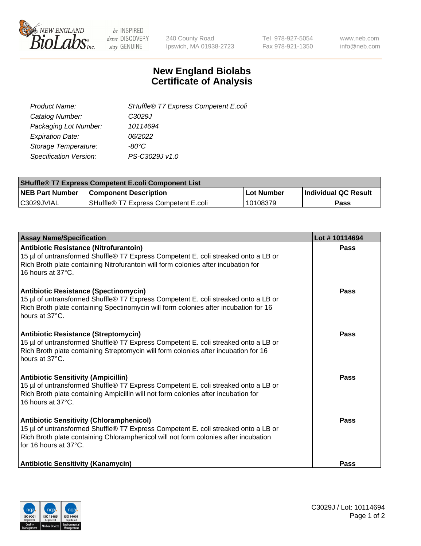

 $be$  INSPIRED drive DISCOVERY stay GENUINE

240 County Road Ipswich, MA 01938-2723 Tel 978-927-5054 Fax 978-921-1350 www.neb.com info@neb.com

## **New England Biolabs Certificate of Analysis**

| SHuffle® T7 Express Competent E.coli |
|--------------------------------------|
| C3029J                               |
| 10114694                             |
| 06/2022                              |
| -80°C.                               |
| PS-C3029J v1.0                       |
|                                      |

| <b>SHuffle<sup>®</sup> T7 Express Competent E.coli Component List</b> |                                      |            |                             |  |
|-----------------------------------------------------------------------|--------------------------------------|------------|-----------------------------|--|
| <b>NEB Part Number</b>                                                | <b>Component Description</b>         | Lot Number | <b>Individual QC Result</b> |  |
| C3029JVIAL                                                            | SHuffle® T7 Express Competent E.coli | 10108379   | Pass                        |  |

| <b>Assay Name/Specification</b>                                                                                                                                                                                                                       | Lot #10114694 |
|-------------------------------------------------------------------------------------------------------------------------------------------------------------------------------------------------------------------------------------------------------|---------------|
| Antibiotic Resistance (Nitrofurantoin)<br>15 µl of untransformed Shuffle® T7 Express Competent E. coli streaked onto a LB or<br>Rich Broth plate containing Nitrofurantoin will form colonies after incubation for<br>16 hours at 37°C.               | Pass          |
| Antibiotic Resistance (Spectinomycin)<br>15 µl of untransformed Shuffle® T7 Express Competent E. coli streaked onto a LB or<br>Rich Broth plate containing Spectinomycin will form colonies after incubation for 16<br>hours at 37°C.                 | Pass          |
| Antibiotic Resistance (Streptomycin)<br>15 µl of untransformed Shuffle® T7 Express Competent E. coli streaked onto a LB or<br>Rich Broth plate containing Streptomycin will form colonies after incubation for 16<br>hours at 37°C.                   | <b>Pass</b>   |
| <b>Antibiotic Sensitivity (Ampicillin)</b><br>15 µl of untransformed Shuffle® T7 Express Competent E. coli streaked onto a LB or<br>Rich Broth plate containing Ampicillin will not form colonies after incubation for<br>16 hours at 37°C.           | Pass          |
| <b>Antibiotic Sensitivity (Chloramphenicol)</b><br>15 µl of untransformed Shuffle® T7 Express Competent E. coli streaked onto a LB or<br>Rich Broth plate containing Chloramphenicol will not form colonies after incubation<br>for 16 hours at 37°C. | <b>Pass</b>   |
| <b>Antibiotic Sensitivity (Kanamycin)</b>                                                                                                                                                                                                             | <b>Pass</b>   |